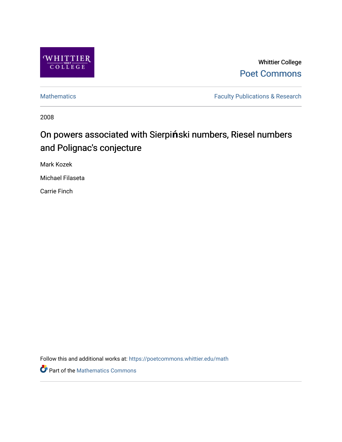

Whittier College [Poet Commons](https://poetcommons.whittier.edu/) 

[Mathematics](https://poetcommons.whittier.edu/math) **Faculty Publications & Research** 

2008

# On powers associated with Sierpi**ń**ski numbers, Riesel numbers and Polignac's conjecture

Mark Kozek

Michael Filaseta

Carrie Finch

Follow this and additional works at: [https://poetcommons.whittier.edu/math](https://poetcommons.whittier.edu/math?utm_source=poetcommons.whittier.edu%2Fmath%2F10&utm_medium=PDF&utm_campaign=PDFCoverPages)

Part of the [Mathematics Commons](http://network.bepress.com/hgg/discipline/174?utm_source=poetcommons.whittier.edu%2Fmath%2F10&utm_medium=PDF&utm_campaign=PDFCoverPages)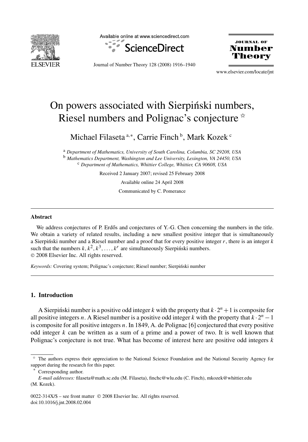

Available online at www.sciencedirect.com



JOURNAL OF **Number** 

Journal of Number Theory 128 (2008) 1916–1940

www.elsevier.com/locate/jnt

## On powers associated with Sierpinski numbers, Riesel numbers and Polignac's conjecture  $*$

Michael Filaseta <sup>a,∗</sup>, Carrie Finch <sup>b</sup>, Mark Kozek <sup>c</sup>

<sup>a</sup> *Department of Mathematics, University of South Carolina, Columbia, SC 29208, USA* <sup>b</sup> *Mathematics Department, Washington and Lee University, Lexington, VA 24450, USA* <sup>c</sup> *Department of Mathematics, Whittier College, Whittier, CA 90608, USA*

Received 2 January 2007; revised 25 February 2008

Available online 24 April 2008

Communicated by C. Pomerance

#### **Abstract**

We address conjectures of P. Erdős and conjectures of Y.-G. Chen concerning the numbers in the title. We obtain a variety of related results, including a new smallest positive integer that is simultaneously a Sierpinski number and a Riesel number and a proof that for every positive integer  $r$ , there is an integer  $k$ such that the numbers  $k, k^2, k^3, \ldots, k^r$  are simultaneously Sierpinski numbers. © 2008 Elsevier Inc. All rights reserved.

*Keywords:* Covering system; Polignac's conjecture; Riesel number; Sierpiński number

#### **1. Introduction**

A Sierpinski number is a positive odd integer k with the property that  $k \cdot 2^n + 1$  is composite for all positive integers *n*. A Riesel number is a positive odd integer *k* with the property that  $k \cdot 2^n - 1$ is composite for all positive integers *n*. In 1849, A. de Polignac [6] conjectured that every positive odd integer *k* can be written as a sum of a prime and a power of two. It is well known that Polignac's conjecture is not true. What has become of interest here are positive odd integers *k*

<sup>✩</sup> The authors express their appreciation to the National Science Foundation and the National Security Agency for support during the research for this paper.

Corresponding author.

*E-mail addresses:* filaseta@math.sc.edu (M. Filaseta), finchc@wlu.edu (C. Finch), mkozek@whittier.edu (M. Kozek).

<sup>0022-314</sup>X/\$ – see front matter © 2008 Elsevier Inc. All rights reserved. doi:10.1016/j.jnt.2008.02.004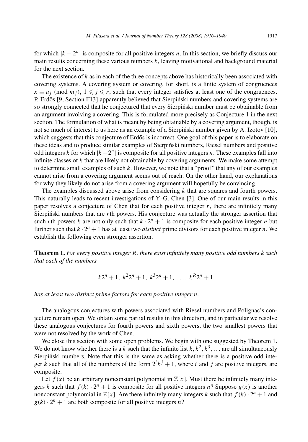for which  $|k - 2^n|$  is composite for all positive integers *n*. In this section, we briefly discuss our main results concerning these various numbers *k*, leaving motivational and background material for the next section.

The existence of *k* as in each of the three concepts above has historically been associated with covering systems. A covering system or covering, for short, is a finite system of congruences  $x \equiv a_j \pmod{m_j}$ ,  $1 \leq j \leq r$ , such that every integer satisfies at least one of the congruences. P. Erdős [9, Section F13] apparently believed that Sierpiński numbers and covering systems are so strongly connected that he conjectured that every Sierpinski number must be obtainable from an argument involving a covering. This is formulated more precisely as Conjecture 1 in the next section. The formulation of what is meant by being obtainable by a covering argument, though, is not so much of interest to us here as an example of a Sierpiński number given by A. Izotov [10], which suggests that this conjecture of Erdős is incorrect. One goal of this paper is to elaborate on these ideas and to produce similar examples of Sierpinski numbers, Riesel numbers and positive ´ odd integers *k* for which  $|k - 2^n|$  is composite for all positive integers *n*. These examples fall into infinite classes of *k* that are likely not obtainable by covering arguments. We make some attempt to determine small examples of such *k*. However, we note that a "proof" that any of our examples cannot arise from a covering argument seems out of reach. On the other hand, our explanations for why they likely do not arise from a covering argument will hopefully be convincing.

The examples discussed above arise from considering *k* that are squares and fourth powers. This naturally leads to recent investigations of Y.-G. Chen [3]. One of our main results in this paper resolves a conjecture of Chen that for each positive integer  $r$ , there are infinitely many Sierpinski numbers that are  $r$ th powers. His conjecture was actually the stronger assertion that such *r*th powers *k* are not only such that  $k \cdot 2^n + 1$  is composite for each positive integer *n* but further such that  $k \cdot 2^n + 1$  has at least two *distinct* prime divisors for each positive integer *n*. We establish the following even stronger assertion.

**Theorem 1.** *For every positive integer R, there exist infinitely many positive odd numbers k such that each of the numbers*

$$
k2^n + 1
$$
,  $k^22^n + 1$ ,  $k^32^n + 1$ , ...,  $k^R2^n + 1$ 

*has at least two distinct prime factors for each positive integer n.*

The analogous conjectures with powers associated with Riesel numbers and Polignac's conjecture remain open. We obtain some partial results in this direction, and in particular we resolve these analogous conjectures for fourth powers and sixth powers, the two smallest powers that were not resolved by the work of Chen.

We close this section with some open problems. We begin with one suggested by Theorem 1. We do not know whether there is a *k* such that the infinite list  $k, k^2, k^3, \ldots$  are all simultaneously Sierpiński numbers. Note that this is the same as asking whether there is a positive odd integer *k* such that all of the numbers of the form  $2^{i}k^{j} + 1$ , where *i* and *j* are positive integers, are composite.

Let  $f(x)$  be an arbitrary nonconstant polynomial in  $\mathbb{Z}[x]$ . Must there be infinitely many integers *k* such that  $f(k) \cdot 2^n + 1$  is composite for all positive integers *n*? Suppose  $g(x)$  is another nonconstant polynomial in  $\mathbb{Z}[x]$ . Are there infinitely many integers *k* such that  $f(k) \cdot 2^n + 1$  and  $g(k) \cdot 2^n + 1$  are both composite for all positive integers *n*?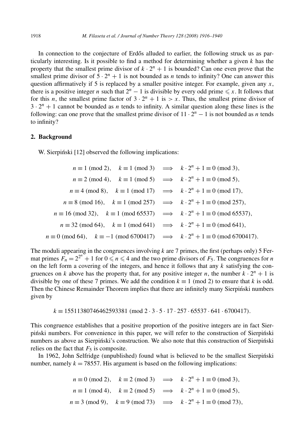In connection to the conjecture of Erdős alluded to earlier, the following struck us as particularly interesting. Is it possible to find a method for determining whether a given *k* has the property that the smallest prime divisor of  $k \cdot 2^n + 1$  is bounded? Can one even prove that the smallest prime divisor of  $5 \cdot 2^n + 1$  is not bounded as *n* tends to infinity? One can answer this question affirmatively if 5 is replaced by a smaller positive integer. For example, given any *x*, there is a positive integer *n* such that  $2^n - 1$  is divisible by every odd prime  $\leq x$ . It follows that for this *n*, the smallest prime factor of  $3 \cdot 2^n + 1$  is  $> x$ . Thus, the smallest prime divisor of  $3 \cdot 2^n + 1$  cannot be bounded as *n* tends to infinity. A similar question along these lines is the following: can one prove that the smallest prime divisor of  $11 \cdot 2^n - 1$  is not bounded as *n* tends to infinity?

#### **2. Background**

W. Sierpiński [12] observed the following implications:

$$
n \equiv 1 \pmod{2}, \quad k \equiv 1 \pmod{3} \implies k \cdot 2^n + 1 \equiv 0 \pmod{3},
$$
  
\n
$$
n \equiv 2 \pmod{4}, \quad k \equiv 1 \pmod{5} \implies k \cdot 2^n + 1 \equiv 0 \pmod{5},
$$
  
\n
$$
n \equiv 4 \pmod{8}, \quad k \equiv 1 \pmod{17} \implies k \cdot 2^n + 1 \equiv 0 \pmod{17},
$$
  
\n
$$
n \equiv 8 \pmod{16}, \quad k \equiv 1 \pmod{257} \implies k \cdot 2^n + 1 \equiv 0 \pmod{257},
$$
  
\n
$$
n \equiv 16 \pmod{32}, \quad k \equiv 1 \pmod{65537} \implies k \cdot 2^n + 1 \equiv 0 \pmod{65537},
$$
  
\n
$$
n \equiv 32 \pmod{64}, \quad k \equiv 1 \pmod{641} \implies k \cdot 2^n + 1 \equiv 0 \pmod{641},
$$
  
\n
$$
n \equiv 0 \pmod{64}, \quad k \equiv -1 \pmod{6700417} \implies k \cdot 2^n + 1 \equiv 0 \pmod{6700417}.
$$

The moduli appearing in the congruences involving  $k$  are 7 primes, the first (perhaps only) 5 Fermat primes  $F_n = 2^{2^n} + 1$  for  $0 \le n \le 4$  and the two prime divisors of  $F_5$ . The congruences for *n* on the left form a covering of the integers, and hence it follows that any  $k$  satisfying the congruences on *k* above has the property that, for any positive integer *n*, the number  $k \cdot 2^n + 1$  is divisible by one of these 7 primes. We add the condition  $k \equiv 1 \pmod{2}$  to ensure that *k* is odd. Then the Chinese Remainder Theorem implies that there are infinitely many Sierpinski numbers given by

*k* ≡ 15511380746462593381 *(*mod 2 · 3 · 5 · 17 · 257 · 65537 · 641 · 6700417*).*

This congruence establishes that a positive proportion of the positive integers are in fact Sierpiński numbers. For convenience in this paper, we will refer to the construction of Sierpiński numbers as above as Sierpiński's construction. We also note that this construction of Sierpiński relies on the fact that  $F_5$  is composite.

In 1962, John Selfridge (unpublished) found what is believed to be the smallest Sierpiński number, namely  $k = 78557$ . His argument is based on the following implications:

> $n \equiv 0 \pmod{2}$ ,  $k \equiv 2 \pmod{3} \implies k \cdot 2^n + 1 \equiv 0 \pmod{3}$ ,  $n \equiv 1 \pmod{4}$ ,  $k \equiv 2 \pmod{5} \implies k \cdot 2^n + 1 \equiv 0 \pmod{5}$ ,  $n \equiv 3 \pmod{9}$ ,  $k \equiv 9 \pmod{73} \implies k \cdot 2^n + 1 \equiv 0 \pmod{73}$ ,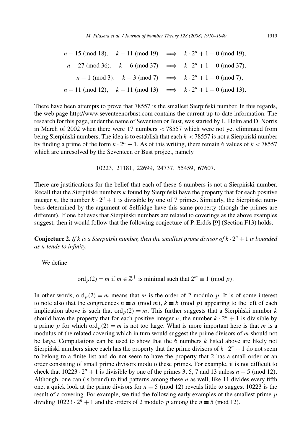$$
n \equiv 15 \pmod{18}, \quad k \equiv 11 \pmod{19} \implies k \cdot 2^n + 1 \equiv 0 \pmod{19},
$$
  
\n
$$
n \equiv 27 \pmod{36}, \quad k \equiv 6 \pmod{37} \implies k \cdot 2^n + 1 \equiv 0 \pmod{37},
$$
  
\n
$$
n \equiv 1 \pmod{3}, \quad k \equiv 3 \pmod{7} \implies k \cdot 2^n + 1 \equiv 0 \pmod{7},
$$
  
\n
$$
n \equiv 11 \pmod{12}, \quad k \equiv 11 \pmod{13} \implies k \cdot 2^n + 1 \equiv 0 \pmod{13}.
$$

There have been attempts to prove that 78557 is the smallest Sierpinski number. In this regards, the web page http://www.seventeenorbust.com contains the current up-to-date information. The research for this page, under the name of Seventeen or Bust, was started by L. Helm and D. Norris in March of 2002 when there were 17 numbers *<* 78557 which were not yet eliminated from being Sierpinski numbers. The idea is to establish that each  $k < 78557$  is not a Sierpinski number by finding a prime of the form  $k \cdot 2^n + 1$ . As of this writing, there remain 6 values of  $k < 78557$ which are unresolved by the Seventeen or Bust project, namely

10223*,* 21181*,* 22699*,* 24737*,* 55459*,* 67607*.*

There are justifications for the belief that each of these 6 numbers is not a Sierpinski number. Recall that the Sierpinski numbers  $k$  found by Sierpinski have the property that for each positive integer *n*, the number  $k \cdot 2^n + 1$  is divisible by one of 7 primes. Similarly, the Sierpinski numbers determined by the argument of Selfridge have this same property (though the primes are different). If one believes that Sierpinski numbers are related to coverings as the above examples suggest, then it would follow that the following conjecture of P. Erdős [9] (Section F13) holds.

**Conjecture 2.** *If k is a Sierpiński number, then the smallest prime divisor of*  $k \cdot 2^n + 1$  *is bounded as n tends to infinity.*

We define

ord<sub>*p*</sub>(2) = *m* if  $m \in \mathbb{Z}^+$  is minimal such that  $2^m \equiv 1 \pmod{p}$ .

In other words,  $\text{ord}_p(2) = m$  means that *m* is the order of 2 modulo *p*. It is of some interest to note also that the congruences  $n \equiv a \pmod{m}$ ,  $k \equiv b \pmod{p}$  appearing to the left of each implication above is such that ord<sub>p</sub>(2) = *m*. This further suggests that a Sierpinski number  $k$ should have the property that for each positive integer *n*, the number  $k \cdot 2^n + 1$  is divisible by a prime *p* for which ord<sub>*p*</sub>(2) = *m* is not too large. What is more important here is that *m* is a modulus of the related covering which in turn would suggest the prime divisors of *m* should not be large. Computations can be used to show that the 6 numbers *k* listed above are likely not Sierpinski numbers since each has the property that the prime divisors of  $k \cdot 2^n + 1$  do not seem to belong to a finite list and do not seem to have the property that 2 has a small order or an order consisting of small prime divisors modulo these primes. For example, it is not difficult to check that  $10223 \cdot 2^n + 1$  is divisible by one of the primes 3, 5, 7 and 13 unless  $n \equiv 5 \pmod{12}$ . Although, one can (is bound) to find patterns among these *n* as well, like 11 divides every fifth one, a quick look at the prime divisors for  $n \equiv 5 \pmod{12}$  reveals little to suggest 10223 is the result of a covering. For example, we find the following early examples of the smallest prime *p* dividing  $10223 ⋅ 2<sup>n</sup> + 1$  and the orders of 2 modulo *p* among the *n* ≡ 5 (mod 12).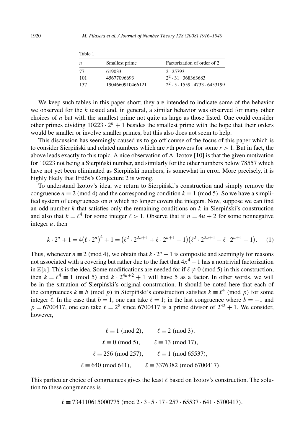| Tavit 1 |                  |                                                   |  |
|---------|------------------|---------------------------------------------------|--|
| n       | Smallest prime   | Factorization of order of 2                       |  |
| 77      | 619033           | 2.25793                                           |  |
| 101     | 45677096693      | $2^2 \cdot 31 \cdot 368363683$                    |  |
| 137     | 1904660910466121 | $2^2 \cdot 5 \cdot 1559 \cdot 4733 \cdot 6453199$ |  |

We keep such tables in this paper short; they are intended to indicate some of the behavior we observed for the *k* tested and, in general, a similar behavior was observed for many other choices of *n* but with the smallest prime not quite as large as those listed. One could consider other primes dividing  $10223 \cdot 2^n + 1$  besides the smallest prime with the hope that their orders would be smaller or involve smaller primes, but this also does not seem to help.

This discussion has seemingly caused us to go off course of the focus of this paper which is to consider Sierpinski and related numbers which are  $r$ th powers for some  $r > 1$ . But in fact, the above leads exactly to this topic. A nice observation of A. Izotov [10] is that the given motivation for 10223 not being a Sierpinski number, and similarly for the other numbers below 78557 which have not yet been eliminated as Sierpiński numbers, is somewhat in error. More precisely, it is highly likely that Erdős's Conjecture 2 is wrong.

To understand Izotov's idea, we return to Sierpinski's construction and simply remove the ´ congruence  $n \equiv 2 \pmod{4}$  and the corresponding condition  $k \equiv 1 \pmod{5}$ . So we have a simplified system of congruences on *n* which no longer covers the integers. Now, suppose we can find an odd number  $k$  that satisfies only the remaining conditions on  $k$  in Sierpinski's construction and also that  $k = \ell^4$  for some integer  $\ell > 1$ . Observe that if  $n = 4u + 2$  for some nonnegative integer *u*, then

$$
k \cdot 2^{n} + 1 = 4\left(\ell \cdot 2^{u}\right)^{4} + 1 = \left(\ell^{2} \cdot 2^{2u+1} + \ell \cdot 2^{u+1} + 1\right)\left(\ell^{2} \cdot 2^{2u+1} - \ell \cdot 2^{u+1} + 1\right). \tag{1}
$$

Thus, whenever  $n \equiv 2 \pmod{4}$ , we obtain that  $k \cdot 2^n + 1$  is composite and seemingly for reasons not associated with a covering but rather due to the fact that  $4x^4 + 1$  has a nontrivial factorization in  $\mathbb{Z}[x]$ . This is the idea. Some modifications are needed for if  $\ell \neq 0 \pmod{5}$  in this construction, then  $k = \ell^4 \equiv 1 \pmod{5}$  and  $k \cdot 2^{4u+2} + 1$  will have 5 as a factor. In other words, we will be in the situation of Sierpiński's original construction. It should be noted here that each of the congruences  $k \equiv b \pmod{p}$  in Sierpinski's construction satisfies  $k \equiv \ell^4 \pmod{p}$  for some integer  $\ell$ . In the case that  $b = 1$ , one can take  $\ell = 1$ ; in the last congruence where  $b = -1$  and  $p = 6700417$ , one can take  $\ell = 2^8$  since 6700417 is a prime divisor of  $2^{32} + 1$ . We consider, however,

| $\ell \equiv 1 \pmod{2}$ ,     | $\ell \equiv 2 \pmod{3}$ ,             |
|--------------------------------|----------------------------------------|
| $\ell \equiv 0 \pmod{5}$ ,     | $\ell \equiv 13 \pmod{17}$ ,           |
| $\ell \equiv 256 \pmod{257}$ , | $\ell \equiv 1 \pmod{65537}$ ,         |
| $\ell \equiv 640 \pmod{641}$ , | $\ell \equiv 3376382 \pmod{6700417}$ . |

This particular choice of congruences gives the least  $\ell$  based on Izotov's construction. The solution to these congruences is

*-* ≡ 734110615000775 *(*mod 2 · 3 · 5 · 17 · 257 · 65537 · 641 · 6700417*).*

Table 1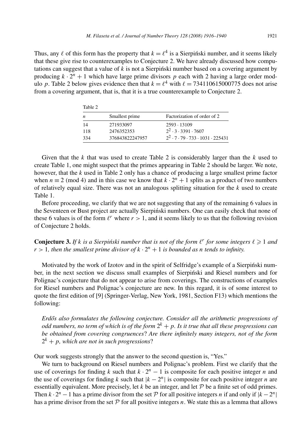Thus, any  $\ell$  of this form has the property that  $k = \ell^4$  is a Sierpinski number, and it seems likely that these give rise to counterexamples to Conjecture 2. We have already discussed how computations can suggest that a value of *k* is not a Sierpinski number based on a covering argument by ´ producing  $k \cdot 2^n + 1$  which have large prime divisors p each with 2 having a large order modulo p. Table 2 below gives evidence then that  $k = \ell^4$  with  $\ell = 734110615000775$  does not arise from a covering argument, that is, that it is a true counterexample to Conjecture 2.

| Table 2 |                 |                                                          |  |
|---------|-----------------|----------------------------------------------------------|--|
| n       | Smallest prime  | Factorization of order of 2                              |  |
| 14      | 271933097       | 2593 - 13109                                             |  |
| 118     | 2476352353      | $2^2 \cdot 3 \cdot 3391 \cdot 7607$                      |  |
| 334     | 376843822247957 | $2^2 \cdot 7 \cdot 79 \cdot 733 \cdot 1031 \cdot 225431$ |  |

Given that the *k* that was used to create Table 2 is considerably larger than the *k* used to create Table 1, one might suspect that the primes appearing in Table 2 should be larger. We note, however, that the *k* used in Table 2 only has a chance of producing a large smallest prime factor when  $n \equiv 2 \pmod{4}$  and in this case we know that  $k \cdot 2^n + 1$  splits as a product of two numbers of relatively equal size. There was not an analogous splitting situation for the *k* used to create Table 1.

Before proceeding, we clarify that we are not suggesting that any of the remaining 6 values in the Seventeen or Bust project are actually Sierpiński numbers. One can easily check that none of these 6 values is of the form  $\ell^r$  where  $r > 1$ , and it seems likely to us that the following revision of Conjecture 2 holds.

**Conjecture 3.** If *k* is a Sierpiński number that is not of the form  $\ell^r$  for some integers  $\ell \geq 1$  and  $r > 1$ , then the smallest prime divisor of  $k \cdot 2^n + 1$  is bounded as *n* tends to infinity.

Motivated by the work of Izotov and in the spirit of Selfridge's example of a Sierpinski number, in the next section we discuss small examples of Sierpiński and Riesel numbers and for Polignac's conjecture that do not appear to arise from coverings. The constructions of examples for Riesel numbers and Polignac's conjecture are new. In this regard, it is of some interest to quote the first edition of [9] (Springer-Verlag, New York, 1981, Section F13) which mentions the following:

*Erd˝os also formulates the following conjecture. Consider all the arithmetic progressions of odd numbers, no term of which is of the form*  $2^k + p$ *. Is it true that all these progressions can be obtained from covering congruences*? *Are there infinitely many integers, not of the form*  $2^k + p$ , which are not in such progressions?

Our work suggests strongly that the answer to the second question is, "Yes."

We turn to background on Riesel numbers and Polignac's problem. First we clarify that the use of coverings for finding *k* such that  $k \cdot 2^n - 1$  is composite for each positive integer *n* and the use of coverings for finding *k* such that  $|k - 2^n|$  is composite for each positive integer *n* are essentially equivalent. More precisely, let  $k$  be an integer, and let  $P$  be a finite set of odd primes. Then  $k \cdot 2^n - 1$  has a prime divisor from the set P for all positive integers *n* if and only if  $|k - 2^n|$ has a prime divisor from the set  $P$  for all positive integers  $n$ . We state this as a lemma that allows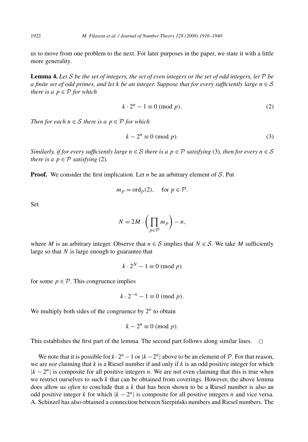us to move from one problem to the next. For later purposes in the paper, we state it with a little more generality.

**Lemma 4.** Let  $S$  be the set of integers, the set of even integers or the set of odd integers, let  $P$  be *a finite set of odd primes, and let k be an integer. Suppose that for every sufficiently large*  $n \in S$ *there is a*  $p \in P$  *for which* 

$$
k \cdot 2^n - 1 \equiv 0 \pmod{p}.
$$
 (2)

*Then for each*  $n \in S$  *there is a*  $p \in P$  *for which* 

$$
k - 2n \equiv 0 \pmod{p}.
$$
 (3)

*Similarly, if for every sufficiently large*  $n \in S$  *there is a*  $p \in P$  *satisfying* (3)*, then for every*  $n \in S$ *there is a*  $p \in \mathcal{P}$  *satisfying* (2).

**Proof.** We consider the first implication. Let  $n$  be an arbitrary element of  $S$ . Put

$$
m_p = \text{ord}_p(2)
$$
, for  $p \in \mathcal{P}$ .

Set

$$
N = 2M \cdot \left(\prod_{p \in \mathcal{P}} m_p\right) - n,
$$

where *M* is an arbitrary integer. Observe that  $n \in S$  implies that  $N \in S$ . We take *M* sufficiently large so that *N* is large enough to guarantee that

 $k \cdot 2^N - 1 \equiv 0 \pmod{p}$ 

for some  $p \in \mathcal{P}$ . This congruence implies

$$
k \cdot 2^{-n} - 1 \equiv 0 \pmod{p}.
$$

We multiply both sides of the congruence by  $2^n$  to obtain

$$
k - 2^n \equiv 0 \pmod{p}.
$$

This establishes the first part of the lemma. The second part follows along similar lines.  $\Box$ 

We note that it is possible for  $k \cdot 2^n - 1$  or  $|k - 2^n|$  above to be an element of  $P$ . For that reason, we are *not* claiming that *k* is a Riesel number if and only if *k* is an odd positive integer for which  $|k - 2^n|$  is composite for all positive integers *n*. We are not even claiming that this is true when we restrict ourselves to such *k* that can be obtained from coverings. However, the above lemma does allow us *often* to conclude that a *k* that has been shown to be a Riesel number is also an odd positive integer *k* for which  $|k - 2^n|$  is composite for all positive integers *n* and vice versa. A. Schinzel has also obtained a connection between Sierpinski numbers and Riesel numbers. The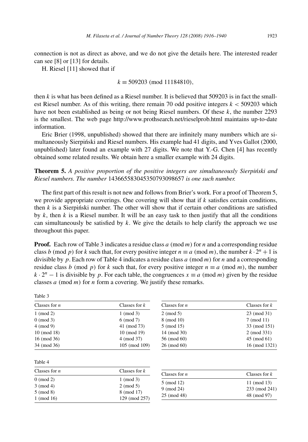connection is not as direct as above, and we do not give the details here. The interested reader can see [8] or [13] for details.

H. Riesel [11] showed that if

Table 3

#### *k* ≡ 509203 *(*mod 11184810*),*

then  $k$  is what has been defined as a Riesel number. It is believed that  $509203$  is in fact the smallest Riesel number. As of this writing, there remain 70 odd positive integers *k <* 509203 which have not been established as being or not being Riesel numbers. Of these  $k$ , the number 2293 is the smallest. The web page http://www.prothsearch.net/rieselprob.html maintains up-to-date information.

Eric Brier (1998, unpublished) showed that there are infinitely many numbers which are simultaneously Sierpiński and Riesel numbers. His example had 41 digits, and Yves Gallot (2000, unpublished) later found an example with 27 digits. We note that Y.-G. Chen [4] has recently obtained some related results. We obtain here a smaller example with 24 digits.

**Theorem 5.** A positive proportion of the positive integers are simultaneously Sierpinski and *Riesel numbers. The number* 143665583045350793098657 *is one such number.*

The first part of this result is not new and follows from Brier's work. For a proof of Theorem 5, we provide appropriate coverings. One covering will show that if *k* satisfies certain conditions, then  $k$  is a Sierpinski number. The other will show that if certain other conditions are satisfied by *k*, then *k* is a Riesel number. It will be an easy task to then justify that all the conditions can simultaneously be satisfied by *k*. We give the details to help clarify the approach we use throughout this paper.

**Proof.** Each row of Table 3 indicates a residue class *a (*mod *m)* for *n* and a corresponding residue class *b* (mod *p*) for *k* such that, for every positive integer  $n \equiv a \pmod{m}$ , the number  $k \cdot 2^n + 1$  is divisible by *p*. Each row of Table 4 indicates a residue class *a (*mod *m)* for *n* and a corresponding residue class *b* (mod *p*) for *k* such that, for every positive integer  $n \equiv a \pmod{m}$ , the number  $k \cdot 2^n - 1$  is divisible by *p*. For each table, the congruences  $x \equiv a \pmod{m}$  given by the residue classes *a (*mod *m)* for *n* form a covering. We justify these remarks.

| Classes for $n$ | Classes for $k$ | Classes for $n$ | Classes for $k$ |
|-----------------|-----------------|-----------------|-----------------|
| $1 \pmod{2}$    | $1 \pmod{3}$    | $2 \pmod{5}$    | 23 (mod 31)     |
| $0 \pmod{3}$    | $6 \pmod{7}$    | 8 (mod 10)      | $7 \pmod{11}$   |
| $4 \pmod{9}$    | 41 (mod 73)     | 5 (mod 15)      | 33 (mod 151)    |
| $10 \pmod{18}$  | $10 \pmod{19}$  | 14 (mod 30)     | 2 (mod 331)     |
| $16 \pmod{36}$  | 4 (mod 37)      | 56 (mod 60)     | 45 (mod 61)     |
| 34 (mod 36)     | 105 (mod 109)   | $26 \pmod{60}$  | 16 (mod 1321)   |
| Table 4         |                 |                 |                 |
| Classes for $n$ | Classes for $k$ | Classes for $n$ | Classes for $k$ |
| $0 \pmod{2}$    | $1 \pmod{3}$    |                 |                 |
| $3 \pmod{4}$    | $2 \pmod{5}$    | 5 (mod 12)      | 11 (mod 13)     |
| $5 \pmod{8}$    | 8 (mod 17)      | $9 \pmod{24}$   | 233 (mod 241)   |
| $1 \pmod{16}$   | 129 (mod 257)   | 25 (mod 48)     | 48 (mod 97)     |
|                 |                 |                 |                 |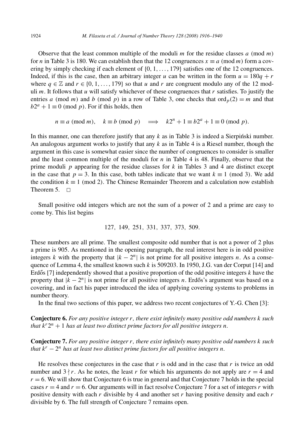Observe that the least common multiple of the moduli *m* for the residue classes *a (*mod *m)* for *n* in Table 3 is 180. We can establish then that the 12 congruences  $x \equiv a \pmod{m}$  form a covering by simply checking if each element of {0*,* 1*,...,* 179} satisfies one of the 12 congruences. Indeed, if this is the case, then an arbitrary integer *u* can be written in the form  $u = 180q + r$ where  $q \in \mathbb{Z}$  and  $r \in \{0, 1, \ldots, 179\}$  so that *u* and *r* are congruent modulo any of the 12 moduli *m*. It follows that *u* will satisfy whichever of these congruences that *r* satisfies. To justify the entries *a* (mod *m*) and *b* (mod *p*) in a row of Table 3, one checks that  $\text{ord}_p(2) = m$  and that  $b2^a + 1 \equiv 0 \pmod{p}$ . For if this holds, then

$$
n \equiv a \pmod{m}
$$
,  $k \equiv b \pmod{p}$   $\implies$   $k2^n + 1 \equiv b2^a + 1 \equiv 0 \pmod{p}$ .

In this manner, one can therefore justify that any  $k$  as in Table 3 is indeed a Sierpinski number. An analogous argument works to justify that any *k* as in Table 4 is a Riesel number, though the argument in this case is somewhat easier since the number of congruences to consider is smaller and the least common multiple of the moduli for  $n$  in Table 4 is 48. Finally, observe that the prime moduli *p* appearing for the residue classes for *k* in Tables 3 and 4 are distinct except in the case that  $p = 3$ . In this case, both tables indicate that we want  $k \equiv 1 \pmod{3}$ . We add the condition  $k \equiv 1 \pmod{2}$ . The Chinese Remainder Theorem and a calculation now establish Theorem  $5 \square$ 

Small positive odd integers which are not the sum of a power of 2 and a prime are easy to come by. This list begins

127*,* 149*,* 251*,* 331*,* 337*,* 373*,* 509*.*

These numbers are all prime. The smallest composite odd number that is not a power of 2 plus a prime is 905. As mentioned in the opening paragraph, the real interest here is in odd positive integers *k* with the property that  $|k - 2^n|$  is not prime for all positive integers *n*. As a consequence of Lemma 4, the smallest known such *k* is 509203. In 1950, J.G. van der Corput [14] and Erdős [7] independently showed that a positive proportion of the odd positive integers  $k$  have the property that  $|k - 2^n|$  is not prime for all positive integers *n*. Erdős's argument was based on a covering, and in fact his paper introduced the idea of applying covering systems to problems in number theory.

In the final two sections of this paper, we address two recent conjectures of Y.-G. Chen [3]:

**Conjecture 6.** *For any positive integer r, there exist infinitely many positive odd numbers k such that*  $k^r 2^n + 1$  *has at least two distinct prime factors for all positive integers n.* 

**Conjecture 7.** *For any positive integer r, there exist infinitely many positive odd numbers k such that k<sup>r</sup>* − 2*<sup>n</sup> has at least two distinct prime factors for all positive integers n.*

He resolves these conjectures in the case that  $r$  is odd and in the case that  $r$  is twice an odd number and  $3 \nmid r$ . As he notes, the least *r* for which his arguments do not apply are  $r = 4$  and  $r = 6$ . We will show that Conjecture 6 is true in general and that Conjecture 7 holds in the special cases  $r = 4$  and  $r = 6$ . Our arguments will in fact resolve Conjecture 7 for a set of integers *r* with positive density with each *r* divisible by 4 and another set *r* having positive density and each *r* divisible by 6. The full strength of Conjecture 7 remains open.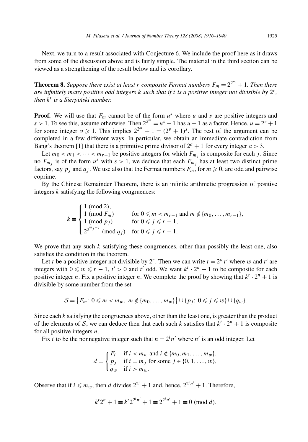Next, we turn to a result associated with Conjecture 6. We include the proof here as it draws from some of the discussion above and is fairly simple. The material in the third section can be viewed as a strengthening of the result below and its corollary.

**Theorem 8.** Suppose there exist at least  $r$  composite Fermat numbers  $F_m = 2^{2^m} + 1$ . Then there *are infinitely many positive odd integers k such that if t is a positive integer not divisible by* 2*r, then*  $k^t$  *is a Sierpiński number.* 

**Proof.** We will use that  $F_m$  cannot be of the form  $u^s$  where *u* and *s* are positive integers and  $s > 1$ . To see this, assume otherwise. Then  $2^{2^m} = u^s - 1$  has  $u - 1$  as a factor. Hence,  $u = 2^v + 1$ for some integer  $v \ge 1$ . This implies  $2^{2^m} + 1 = (2^v + 1)^s$ . The rest of the argument can be completed in a few different ways. In particular, we obtain an immediate contradiction from Bang's theorem [1] that there is a primitive prime divisor of  $2^a + 1$  for every integer  $a > 3$ .

Let  $m_0 < m_1 < \cdots < m_{r-1}$  be positive integers for which  $F_{m_i}$  is composite for each *j*. Since no  $F_{m_j}$  is of the form  $u^s$  with  $s > 1$ , we deduce that each  $F_{m_j}$  has at least two distinct prime factors, say  $p_j$  and  $q_j$ . We use also that the Fermat numbers  $F_m$ , for  $m \ge 0$ , are odd and pairwise coprime.

By the Chinese Remainder Theorem, there is an infinite arithmetic progression of positive integers *k* satisfying the following congruences:

$$
k \equiv \begin{cases} 1 \pmod{2}, \\ 1 \pmod{F_m} & \text{for } 0 \le m < m_{r-1} \text{ and } m \notin \{m_0, \ldots, m_{r-1}\}, \\ 1 \pmod{p_j} & \text{for } 0 \le j \le r-1, \\ 2^{2^{m_j-j}} \pmod{q_j} & \text{for } 0 \le j \le r-1. \end{cases}
$$

We prove that any such *k* satisfying these congruences, other than possibly the least one, also satisfies the condition in the theorem.

Let *t* be a positive integer not divisible by 2<sup>*r*</sup>. Then we can write  $t = 2<sup>w</sup>t'$  where *w* and *t'* are integers with  $0 \leq w \leq r - 1$ ,  $t' > 0$  and  $t'$  odd. We want  $k^t \cdot 2^n + 1$  to be composite for each positive integer *n*. Fix a positive integer *n*. We complete the proof by showing that  $k^t \cdot 2^n + 1$  is divisible by some number from the set

$$
S = \{F_m: 0 \leq m < m_w, \ m \notin \{m_0, \ldots, m_w\}\} \cup \{p_j: 0 \leq j \leq w\} \cup \{q_w\}.
$$

Since each *k* satisfying the congruences above, other than the least one, is greater than the product of the elements of S, we can deduce then that each such *k* satisfies that  $k^{t} \cdot 2^{n} + 1$  is composite for all positive integers *n*.

Fix *i* to be the nonnegative integer such that  $n = 2<sup>i</sup> n'$  where *n'* is an odd integer. Let

$$
d = \begin{cases} F_i & \text{if } i < m_w \text{ and } i \notin \{m_0, m_1, \dots, m_w\}, \\ p_j & \text{if } i = m_j \text{ for some } j \in \{0, 1, \dots, w\}, \\ q_w & \text{if } i > m_w. \end{cases}
$$

Observe that if  $i \le m_w$ , then *d* divides  $2^{2^i} + 1$  and, hence,  $2^{2^i n'} + 1$ . Therefore,

$$
kt2n + 1 \equiv kt22in' + 1 \equiv 22in' + 1 \equiv 0 \pmod{d}.
$$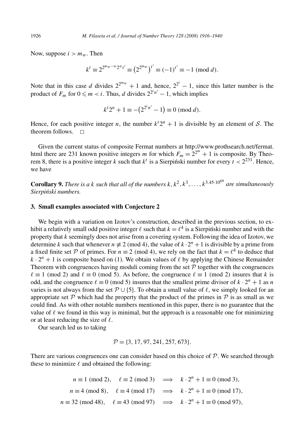Now, suppose  $i > m_w$ . Then

$$
k^{t} \equiv 2^{2^{m_{w}-w}2^{w}t'} \equiv (2^{2^{m_{w}}})^{t'} \equiv (-1)^{t'} \equiv -1 \pmod{d}.
$$

Note that in this case *d* divides  $2^{2^{m}w} + 1$  and, hence,  $2^{2^{i}} - 1$ , since this latter number is the product of  $F_m$  for  $0 \le m < i$ . Thus, *d* divides  $2^{2^i n'} - 1$ , which implies

$$
k^t 2^n + 1 \equiv -(2^{2^i n'} - 1) \equiv 0 \pmod{d}.
$$

Hence, for each positive integer *n*, the number  $k^22^n + 1$  is divisible by an element of S. The theorem follows.  $\Box$ 

Given the current status of composite Fermat numbers at http://www.prothsearch.net/fermat. html there are 231 known positive integers *m* for which  $F_m = 2^{2^m} + 1$  is composite. By Theorem 8, there is a positive integer *k* such that  $k^t$  is a Sierpinski number for every  $t < 2^{231}$ . Hence, we have

**Corollary 9.** *There is a k such that all of the numbers*  $k, k^2, k^3, \ldots, k^{3.45 \cdot 10^{69}}$  *are simultaneously* Sierpiński numbers.

### **3. Small examples associated with Conjecture 2**

We begin with a variation on Izotov's construction, described in the previous section, to exhibit a relatively small odd positive integer  $\ell$  such that  $k = \ell^4$  is a Sierpiński number and with the property that *k* seemingly does not arise from a covering system. Following the idea of Izotov, we determine *k* such that whenever  $n \neq 2 \pmod{4}$ , the value of  $k \cdot 2^n + 1$  is divisible by a prime from a fixed finite set P of primes. For  $n \equiv 2 \pmod{4}$ , we rely on the fact that  $k = \ell^4$  to deduce that  $k \cdot 2^n + 1$  is composite based on (1). We obtain values of  $\ell$  by applying the Chinese Remainder Theorem with congruences having moduli coming from the set  $P$  together with the congruences  $\ell \equiv 1 \pmod{2}$  and  $\ell \equiv 0 \pmod{5}$ . As before, the congruence  $\ell \equiv 1 \pmod{2}$  insures that *k* is odd, and the congruence  $\ell \equiv 0 \pmod{5}$  insures that the smallest prime divisor of  $k \cdot 2^n + 1$  as *n* varies is not always from the set  $P \cup \{5\}$ . To obtain a small value of  $\ell$ , we simply looked for an appropriate set  $P$  which had the property that the product of the primes in  $P$  is as small as we could find. As with other notable numbers mentioned in this paper, there is no guarantee that the value of  $\ell$  we found in this way is minimal, but the approach is a reasonable one for minimizing or at least reducing the size of  $\ell$ .

Our search led us to taking

$$
\mathcal{P} = \{3, 17, 97, 241, 257, 673\}.
$$

There are various congruences one can consider based on this choice of  $P$ . We searched through these to minimize  $\ell$  and obtained the following:

$$
n \equiv 1 \pmod{2}, \quad \ell \equiv 2 \pmod{3} \implies k \cdot 2^n + 1 \equiv 0 \pmod{3},
$$
  
\n
$$
n \equiv 4 \pmod{8}, \quad \ell \equiv 4 \pmod{17} \implies k \cdot 2^n + 1 \equiv 0 \pmod{17},
$$
  
\n
$$
n \equiv 32 \pmod{48}, \quad \ell \equiv 43 \pmod{97} \implies k \cdot 2^n + 1 \equiv 0 \pmod{97},
$$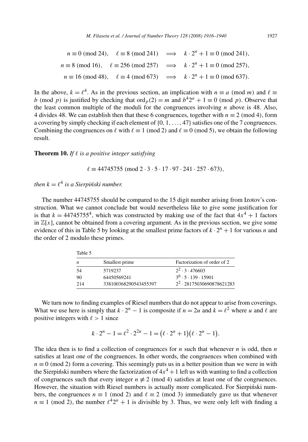$n \equiv 0 \pmod{24}$ ,  $\ell \equiv 8 \pmod{241}$  $\implies k \cdot 2^n + 1 \equiv 0 \pmod{241}$  $n \equiv 8 \pmod{16}$ ,  $\ell \equiv 256 \pmod{257}$  $\implies k \cdot 2^n + 1 \equiv 0 \pmod{257}$ .  $n \equiv 16 \pmod{48}$ ,  $\ell \equiv 4 \pmod{673}$  $\implies k \cdot 2^n + 1 \equiv 0 \pmod{637}$ .

In the above,  $k = \ell^4$ . As in the previous section, an implication with  $n \equiv a \pmod{m}$  and  $\ell \equiv$ *b* (mod *p*) is justified by checking that ord<sub>*p*</sub>(2) = *m* and  $b^42^a + 1 \equiv 0$  (mod *p*). Observe that the least common multiple of the moduli for the congruences involving *n* above is 48. Also, 4 divides 48. We can establish then that these 6 congruences, together with  $n \equiv 2 \pmod{4}$ , form a covering by simply checking if each element of {0*,* 1*,...,* 47} satisfies one of the 7 congruences. Combining the congruences on  $\ell$  with  $\ell \equiv 1 \pmod{2}$  and  $\ell \equiv 0 \pmod{5}$ , we obtain the following result.

#### **Theorem 10.** *If - is a positive integer satisfying*

 $\ell \equiv 44745755 \pmod{2 \cdot 3 \cdot 5 \cdot 17 \cdot 97 \cdot 241 \cdot 257 \cdot 673}$ 

 $then k = \ell^4$  *is a Sierpiński number.* 

The number 44745755 should be compared to the 15 digit number arising from Izotov's construction. What we cannot conclude but would nevertheless like to give some justification for is that  $k = 44745755^4$ , which was constructed by making use of the fact that  $4x^4 + 1$  factors in  $\mathbb{Z}[x]$ , cannot be obtained from a covering argument. As in the previous section, we give some evidence of this in Table 5 by looking at the smallest prime factors of  $k \cdot 2^n + 1$  for various *n* and the order of 2 modulo these primes.

| Table 5 |                       |                                       |
|---------|-----------------------|---------------------------------------|
| n       | Smallest prime        | Factorization of order of 2           |
| 54      | 5719237               | $2^2 \cdot 3 \cdot 476603$            |
| 90      | 64450569241           | $3^6 \cdot 5 \cdot 139 \cdot 15901$   |
| 214     | 338100368290543455397 | 2 <sup>2</sup> · 28175030690878621283 |

We turn now to finding examples of Riesel numbers that do not appear to arise from coverings. What we use here is simply that  $k \cdot 2^n - 1$  is composite if  $n = 2u$  and  $k = \ell^2$  where *u* and  $\ell$  are positive integers with  $\ell > 1$  since

$$
k \cdot 2^{n} - 1 = \ell^{2} \cdot 2^{2u} - 1 = (\ell \cdot 2^{u} + 1)(\ell \cdot 2^{u} - 1).
$$

The idea then is to find a collection of congruences for *n* such that whenever *n* is odd, then *n* satisfies at least one of the congruences. In other words, the congruences when combined with  $n \equiv 0 \pmod{2}$  form a covering. This seemingly puts us in a better position than we were in with the Sierpinski numbers where the factorization of  $4x^4 + 1$  left us with wanting to find a collection of congruences such that every integer  $n \neq 2 \pmod{4}$  satisfies at least one of the congruences. However, the situation with Riesel numbers is actually more complicated. For Sierpinski numbers, the congruences  $n \equiv 1 \pmod{2}$  and  $\ell \equiv 2 \pmod{3}$  immediately gave us that whenever  $n \equiv 1 \pmod{2}$ , the number  $\ell^4 2^n + 1$  is divisible by 3. Thus, we were only left with finding a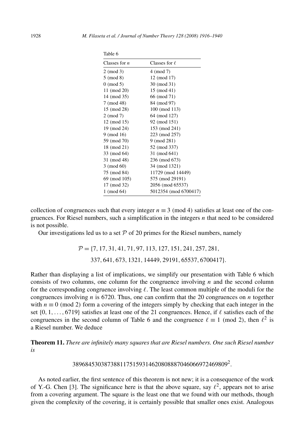| Classes for $n$ | Classes for $\ell$    |
|-----------------|-----------------------|
| $2 \pmod{3}$    | $4 \pmod{7}$          |
| $5 \pmod{8}$    | 12 (mod 17)           |
| $0 \pmod{5}$    | 30 (mod 31)           |
| 11 (mod 20)     | 15 (mod 41)           |
| 14 (mod 35)     | 66 (mod 71)           |
| 7 (mod 48)      | 84 (mod 97)           |
| 15 (mod 28)     | 100 (mod 113)         |
| 2 (mod 7)       | 64 (mod 127)          |
| 12 (mod 15)     | 92 (mod 151)          |
| 19 (mod 24)     | 153 (mod 241)         |
| 9 (mod 16)      | 223 (mod 257)         |
| 59 (mod 70)     | 9 (mod 281)           |
| 18 (mod 21)     | 52 (mod 337)          |
| 33 (mod 64)     | 31 (mod 641)          |
| 31 (mod 48)     | 236 (mod 673)         |
| $3 \pmod{60}$   | 34 (mod 1321)         |
| 75 (mod 84)     | 11729 (mod 14449)     |
| 69 (mod 105)    | 575 (mod 29191)       |
| 17 (mod 32)     | 2056 (mod 65537)      |
| $1 \pmod{64}$   | 5012354 (mod 6700417) |

| × |  |
|---|--|
|   |  |

collection of congruences such that every integer  $n \equiv 3 \pmod{4}$  satisfies at least one of the congruences. For Riesel numbers, such a simplification in the integers *n* that need to be considered is not possible.

Our investigations led us to a set  $P$  of 20 primes for the Riesel numbers, namely

P = {7*,* 17*,* 31*,* 41*,* 71*,* 97*,* 113*,* 127*,* 151*,* 241*,* 257*,* 281*,* 337*,* 641*,* 673*,* 1321*,* 14449*,* 29191*,* 65537*,* 6700417}*.*

Rather than displaying a list of implications, we simplify our presentation with Table 6 which consists of two columns, one column for the congruence involving *n* and the second column for the corresponding congruence involving  $\ell$ . The least common multiple of the moduli for the congruences involving *n* is 6720. Thus, one can confirm that the 20 congruences on *n* together with  $n \equiv 0 \pmod{2}$  form a covering of the integers simply by checking that each integer in the set  $\{0, 1, \ldots, 6719\}$  satisfies at least one of the 21 congruences. Hence, if  $\ell$  satisfies each of the congruences in the second column of Table 6 and the congruence  $\ell \equiv 1 \pmod{2}$ , then  $\ell^2$  is a Riesel number. We deduce

**Theorem 11.** *There are infinitely many squares that are Riesel numbers. One such Riesel number is*

$$
3896845303873881175159314620808887046066972469809^2.
$$

As noted earlier, the first sentence of this theorem is not new; it is a consequence of the work of Y.-G. Chen [3]. The significance here is that the above square, say  $\ell^2$ , appears not to arise from a covering argument. The square is the least one that we found with our methods, though given the complexity of the covering, it is certainly possible that smaller ones exist. Analogous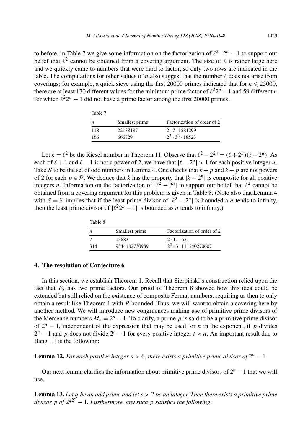to before, in Table 7 we give some information on the factorization of  $\ell^2 \cdot 2^n - 1$  to support our belief that  $\ell^2$  cannot be obtained from a covering argument. The size of  $\ell$  is rather large here and we quickly came to numbers that were hard to factor, so only two rows are indicated in the table. The computations for other values of *n* also suggest that the number  $\ell$  does not arise from coverings; for example, a quick sieve using the first  $20000$  primes indicated that for  $n \le 25000$ , there are at least 170 different values for the minimum prime factor of  $\ell^2 2^n - 1$  and 59 different *n* for which  $\ell^2 2^n - 1$  did not have a prime factor among the first 20000 primes.

| Table 7 |                |                             |  |
|---------|----------------|-----------------------------|--|
| n       | Smallest prime | Factorization of order of 2 |  |
| 118     | 22138187       | 2.7.1581299                 |  |
| 166     | 666829         | $2^2 \cdot 3^2 \cdot 18523$ |  |

Let  $k = \ell^2$  be the Riesel number in Theorem 11. Observe that  $\ell^2 - 2^{2u} = (\ell + 2^u)(\ell - 2^u)$ . As each of  $\ell + 1$  and  $\ell - 1$  is not a power of 2, we have that  $|\ell - 2^u| > 1$  for each positive integer *u*. Take S to be the set of odd numbers in Lemma 4. One checks that  $k + p$  and  $k - p$  are not powers of 2 for each  $p \in \mathcal{P}$ . We deduce that *k* has the property that  $|k - 2^n|$  is composite for all positive integers *n*. Information on the factorization of  $\ell^2 - 2^n$  to support our belief that  $\ell^2$  cannot be obtained from a covering argument for this problem is given in Table 8. (Note also that Lemma 4 with  $S = \mathbb{Z}$  implies that if the least prime divisor of  $\ell^2 - 2^n$  is bounded a *n* tends to infinity, then the least prime divisor of  $\ell^2 2^n - 1$  is bounded as *n* tends to infinity.)

| Table 8 |                |                                  |
|---------|----------------|----------------------------------|
| n       | Smallest prime | Factorization of order of 2      |
|         | 13883          | $2 \cdot 11 \cdot 631$           |
| 314     | 9344182730989  | $2^2 \cdot 3 \cdot 111240270607$ |

#### **4. The resolution of Conjecture 6**

In this section, we establish Theorem 1. Recall that Sierpinski's construction relied upon the fact that *F*<sup>5</sup> has two prime factors. Our proof of Theorem 8 showed how this idea could be extended but still relied on the existence of composite Fermat numbers, requiring us then to only obtain a result like Theorem 1 with *R* bounded. Thus, we will want to obtain a covering here by another method. We will introduce new congruences making use of primitive prime divisors of the Mersenne numbers  $M_n = 2^n - 1$ . To clarify, a prime p is said to be a primitive prime divisor of  $2^n - 1$ , independent of the expression that may be used for *n* in the exponent, if *p* divides  $2<sup>n</sup> - 1$  and *p* does not divide  $2<sup>t</sup> - 1$  for every positive integer  $t < n$ . An important result due to Bang [1] is the following:

**Lemma 12.** *For each positive integer*  $n > 6$ *, there exists a primitive prime divisor of*  $2^n - 1$ *.* 

Our next lemma clarifies the information about primitive prime divisors of  $2^n - 1$  that we will use.

**Lemma 13.** *Let q be an odd prime and let s >* 2 *be an integer. Then there exists a primitive prime divisor p of* 2*q*2*<sup>s</sup>* − 1*. Furthermore, any such p satisfies the following*: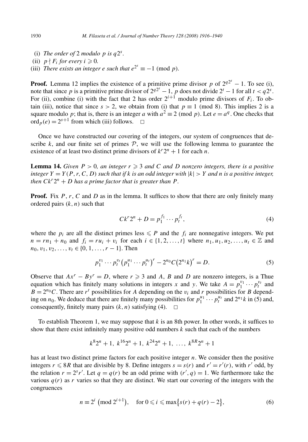- (i) *The order of* 2 *modulo*  $p$  *is*  $q2<sup>s</sup>$ *.*
- (ii)  $p \nmid F_i$  *for every*  $i \ge 0$ .
- (iii) *There exists an integer <i>e such that*  $e^{2^s} \equiv -1 \pmod{p}$ *.*

**Proof.** Lemma 12 implies the existence of a primitive prime divisor *p* of  $2^{q2^s} - 1$ . To see (i), note that since *p* is a primitive prime divisor of  $2^{q2^s} - 1$ , *p* does not divide  $2^t - 1$  for all  $t < q2^s$ . For (ii), combine (i) with the fact that 2 has order  $2^{i+1}$  modulo prime divisors of  $F_i$ . To obtain (iii), notice that since  $s > 2$ , we obtain from (i) that  $p \equiv 1 \pmod{8}$ . This implies 2 is a square modulo *p*; that is, there is an integer *a* with  $a^2 \equiv 2 \pmod{p}$ . Let  $e = a^q$ . One checks that  $\operatorname{ord}_p(e) = 2^{s+1}$  from which (iii) follows.  $\Box$ 

Once we have constructed our covering of the integers, our system of congruences that describe  $k$ , and our finite set of primes  $P$ , we will use the following lemma to guarantee the existence of at least two distinct prime divisors of  $k^r 2^n + 1$  for each *n*.

**Lemma 14.** *Given*  $P > 0$ *, an integer*  $r \geq 3$  *and C and D nonzero integers, there is a positive integer*  $Y = Y(P, r, C, D)$  *such that if k is an odd integer with*  $|k| > Y$  *and n is a positive integer, then*  $Ck^r 2^n + D$  *has a prime factor that is greater than*  $P$ *.* 

**Proof.** Fix P, r, C and D as in the lemma. It suffices to show that there are only finitely many ordered pairs *(k, n)* such that

$$
Ck^{r}2^{n} + D = p_{1}^{f_{1}} \cdots p_{t}^{f_{t}}, \qquad (4)
$$

where the  $p_i$  are all the distinct primes less  $\leq P$  and the  $f_i$  are nonnegative integers. We put *n* = *rn*<sub>1</sub> + *n*<sub>0</sub> and *f<sub>i</sub>* = *ru<sub>i</sub>* + *v<sub>i</sub>* for each *i* ∈ {1*,* 2*,...,t*} where *n*<sub>1</sub>*, u*<sub>1</sub>*, u*<sub>2</sub>*,...,u<sub>t</sub>* ∈ Z and  $n_0, v_1, v_2, \ldots, v_t \in \{0, 1, \ldots, r-1\}.$  Then

$$
p_1^{v_1} \cdots p_t^{v_t} (p_1^{u_1} \cdots p_t^{u_t})^r - 2^{n_0} C (2^{n_1} k)^r = D.
$$
 (5)

Observe that  $Ax^r - By^r = D$ , where  $r \ge 3$  and *A*, *B* and *D* are nonzero integers, is a Thue equation which has finitely many solutions in integers *x* and *y*. We take  $A = p_1^{v_1} \cdots p_t^{v_t}$  and  $B = 2^{n_0}C$ . There are  $r^t$  possibilities for *A* depending on the *v<sub>i</sub>* and *r* possibilities for *B* depending on  $n_0$ . We deduce that there are finitely many possibilities for  $p_1^{u_1} \cdots p_t^{u_t}$  and  $2^{n_1}k$  in (5) and, consequently, finitely many pairs  $(k, n)$  satisfying (4).  $\Box$ 

To establish Theorem 1, we may suppose that *k* is an 8th power. In other words, it suffices to show that there exist infinitely many positive odd numbers *k* such that each of the numbers

$$
k^{8}2^{n}+1
$$
,  $k^{16}2^{n}+1$ ,  $k^{24}2^{n}+1$ , ...,  $k^{8R}2^{n}+1$ 

has at least two distinct prime factors for each positive integer *n*. We consider then the positive integers  $r \le 8R$  that are divisible by 8. Define integers  $s = s(r)$  and  $r' = r'(r)$ , with  $r'$  odd, by the relation  $r = 2^{s}r'$ . Let  $q = q(r)$  be an odd prime with  $(r', q) = 1$ . We furthermore take the various  $q(r)$  as r varies so that they are distinct. We start our covering of the integers with the congruences

$$
n \equiv 2^{i} \pmod{2^{i+1}}, \quad \text{for } 0 \leq i \leq \max\{s(r) + q(r) - 2\},\tag{6}
$$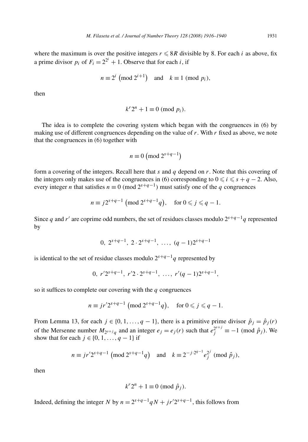where the maximum is over the positive integers  $r \leqslant 8R$  divisible by 8. For each *i* as above, fix a prime divisor  $p_i$  of  $F_i = 2^{2^i} + 1$ . Observe that for each *i*, if

$$
n \equiv 2^i \pmod{2^{i+1}} \quad \text{and} \quad k \equiv 1 \pmod{p_i},
$$

then

$$
k^r 2^n + 1 \equiv 0 \pmod{p_i}.
$$

The idea is to complete the covering system which began with the congruences in (6) by making use of different congruences depending on the value of *r*. With *r* fixed as above, we note that the congruences in (6) together with

$$
n \equiv 0 \pmod{2^{s+q-1}}
$$

form a covering of the integers. Recall here that *s* and *q* depend on *r*. Note that this covering of the integers only makes use of the congruences in (6) corresponding to  $0 \le i \le s + q - 2$ . Also, every integer *n* that satisfies  $n \equiv 0 \pmod{2^{s+q-1}}$  must satisfy one of the *q* congruences

$$
n \equiv j2^{s+q-1} \pmod{2^{s+q-1}q}, \quad \text{for } 0 \leqslant j \leqslant q-1.
$$

Since *q* and *r'* are coprime odd numbers, the set of residues classes modulo  $2^{s+q-1}q$  represented by

$$
0, 2^{s+q-1}, 2 \cdot 2^{s+q-1}, \ldots, (q-1)2^{s+q-1}
$$

is identical to the set of residue classes modulo  $2^{s+q-1}q$  represented by

$$
0, r'2^{s+q-1}, r'2 \cdot 2^{s+q-1}, \ldots, r'(q-1)2^{s+q-1},
$$

so it suffices to complete our covering with the *q* congruences

$$
n \equiv j r' 2^{s+q-1} \pmod{2^{s+q-1} q}, \quad \text{for } 0 \leq j \leq q-1.
$$

From Lemma 13, for each  $j \in \{0, 1, \ldots, q - 1\}$ , there is a primitive prime divisor  $\hat{p}_i = \hat{p}_i(r)$ of the Mersenne number  $M_{2^{s+j}q}$  and an integer  $e_j = e_j(r)$  such that  $e_j^{2^{s+j}} \equiv -1 \pmod{\hat{p}_j}$ . We show that for each  $j \in \{0, 1, \ldots, q-1\}$  if

$$
n \equiv j r' 2^{s+q-1} \pmod{2^{s+q-1} q}
$$
 and  $k \equiv 2^{-j \cdot 2^{q-1}} e_j^{2^j} \pmod{\hat{p}_j}$ ,

then

$$
k^r 2^n + 1 \equiv 0 \pmod{\hat{p}_j}.
$$

Indeed, defining the integer *N* by  $n = 2^{s+q-1}qN + jr'2^{s+q-1}$ , this follows from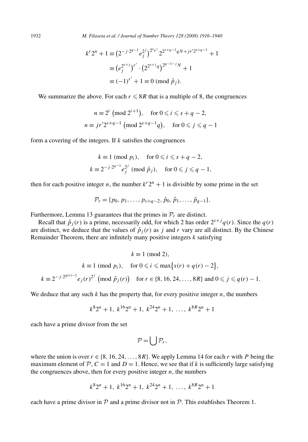$$
k^{r} 2^{n} + 1 \equiv (2^{-j \cdot 2^{q-1}} e_{j}^{2^{j}})^{2^{s} r'} 2^{2^{s+q-1} q N + j r' 2^{s+q-1}} + 1
$$
  

$$
\equiv (e_{j}^{2^{s+j}})^{r'} \cdot (2^{2^{s+j} q})^{2^{q-1-j} N} + 1
$$
  

$$
\equiv (-1)^{r'} + 1 \equiv 0 \pmod{\hat{p}_{j}}.
$$

We summarize the above. For each  $r \leqslant 8R$  that is a multiple of 8, the congruences

$$
n \equiv 2^i \pmod{2^{i+1}}, \quad \text{for } 0 \le i \le s+q-2,
$$
  

$$
n \equiv j r' 2^{s+q-1} \pmod{2^{s+q-1} q}, \quad \text{for } 0 \le j \le q-1
$$

form a covering of the integers. If *k* satisfies the congruences

$$
k \equiv 1 \pmod{p_i}, \quad \text{for } 0 \le i \le s + q - 2,
$$
  

$$
k \equiv 2^{-j \cdot 2^{q-1}} e_j^{2^j} \pmod{\hat{p}_j}, \quad \text{for } 0 \le j \le q - 1,
$$

then for each positive integer *n*, the number  $k^r 2^n + 1$  is divisible by some prime in the set

$$
\mathcal{P}_r = \{p_0, p_1, \ldots, p_{s+q-2}, \hat{p}_0, \hat{p}_1, \ldots, \hat{p}_{q-1}\}.
$$

Furthermore, Lemma 13 guarantees that the primes in  $\mathcal{P}_r$  are distinct.

Recall that  $\hat{p}_i(r)$  is a prime, necessarily odd, for which 2 has order  $2^{s+j}q(r)$ . Since the  $q(r)$ are distinct, we deduce that the values of  $\hat{p}_i(r)$  as *j* and *r* vary are all distinct. By the Chinese Remainder Theorem, there are infinitely many positive integers *k* satisfying

$$
k \equiv 1 \pmod{2},
$$
  
\n
$$
k \equiv 1 \pmod{p_i}, \quad \text{for } 0 \le i \le \max\{s(r) + q(r) - 2\},
$$
  
\n
$$
k \equiv 2^{-j \cdot 2^{q(r)-1}} e_j(r)^{2^j} \pmod{\hat{p}_j(r)}
$$
 for  $r \in \{8, 16, 24, ..., 8R\}$  and  $0 \le j \le q(r) - 1$ .

We deduce that any such  $k$  has the property that, for every positive integer  $n$ , the numbers

$$
k^{8}2^{n}+1
$$
,  $k^{16}2^{n}+1$ ,  $k^{24}2^{n}+1$ , ...,  $k^{8R}2^{n}+1$ 

each have a prime divisor from the set

$$
\mathcal{P}=\bigcup \mathcal{P}_r,
$$

where the union is over  $r \in \{8, 16, 24, \ldots, 8R\}$ . We apply Lemma 14 for each *r* with *P* being the maximum element of  $\mathcal{P}, C = 1$  and  $D = 1$ . Hence, we see that if k is sufficiently large satisfying the congruences above, then for every positive integer  $n$ , the numbers

$$
k^{8}2^{n} + 1
$$
,  $k^{16}2^{n} + 1$ ,  $k^{24}2^{n} + 1$ , ...,  $k^{8R}2^{n} + 1$ 

each have a prime divisor in  $P$  and a prime divisor not in  $P$ . This establishes Theorem 1.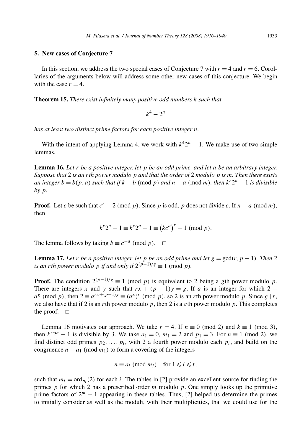#### **5. New cases of Conjecture 7**

In this section, we address the two special cases of Conjecture 7 with  $r = 4$  and  $r = 6$ . Corollaries of the arguments below will address some other new cases of this conjecture. We begin with the case  $r = 4$ .

**Theorem 15.** *There exist infinitely many positive odd numbers k such that*

$$
k^4 - 2^n
$$

*has at least two distinct prime factors for each positive integer n.*

With the intent of applying Lemma 4, we work with  $k^42^n - 1$ . We make use of two simple lemmas.

**Lemma 16.** *Let r be a positive integer, let p be an odd prime, and let a be an arbitrary integer. Suppose that* 2 *is an rth power modulo p and that the order of* 2 *modulo p is m. Then there exists an integer*  $b = b(p, a)$  *such that if*  $k \equiv b \pmod{p}$  *and*  $n \equiv a \pmod{m}$ *, then*  $k^r 2^n - 1$  *is divisible by p.*

**Proof.** Let *c* be such that  $c^r \equiv 2 \pmod{p}$ . Since *p* is odd, *p* does not divide *c*. If  $n \equiv a \pmod{m}$ , then

$$
k^r 2^n - 1 \equiv k^r 2^a - 1 \equiv (kc^a)^r - 1 \pmod{p}.
$$

The lemma follows by taking  $b \equiv c^{-a} \pmod{p}$ .  $\Box$ 

**Lemma 17.** *Let r be a positive integer, let p be an odd prime and let*  $g = \gcd(r, p - 1)$ *. Then* 2 *is an rth power modulo p if and only if*  $2^{(p-1)/g} \equiv 1 \pmod{p}$ *.* 

**Proof.** The condition  $2^{(p-1)/g} \equiv 1 \pmod{p}$  is equivalent to 2 being a *g*th power modulo *p*. There are integers *x* and *y* such that  $rx + (p - 1)y = g$ . If *a* is an integer for which  $2 \equiv$  $a^g \pmod{p}$ , then  $2 \equiv a^{rx + (p-1)y} \equiv (a^x)^r \pmod{p}$ , so 2 is an *r*th power modulo *p*. Since *g* | *r*, we also have that if 2 is an *r*th power modulo *p*, then 2 is a *g*th power modulo *p*. This completes the proof.  $\square$ 

Lemma 16 motivates our approach. We take  $r = 4$ . If  $n \equiv 0 \pmod{2}$  and  $k \equiv 1 \pmod{3}$ , then  $k^2$ <sup>n</sup> − 1 is divisible by 3. We take  $a_1 = 0$ ,  $m_1 = 2$  and  $p_1 = 3$ . For  $n \equiv 1 \pmod{2}$ , we find distinct odd primes  $p_2, \ldots, p_t$ , with 2 a fourth power modulo each  $p_i$ , and build on the congruence  $n \equiv a_1 \pmod{m_1}$  to form a covering of the integers

$$
n \equiv a_i \pmod{m_i} \quad \text{for } 1 \leq i \leq t,
$$

such that  $m_i = \text{ord}_{p_i}(2)$  for each *i*. The tables in [2] provide an excellent source for finding the primes *p* for which 2 has a prescribed order *m* modulo *p*. One simply looks up the primitive prime factors of 2*<sup>m</sup>* − 1 appearing in these tables. Thus, [2] helped us determine the primes to initially consider as well as the moduli, with their multiplicities, that we could use for the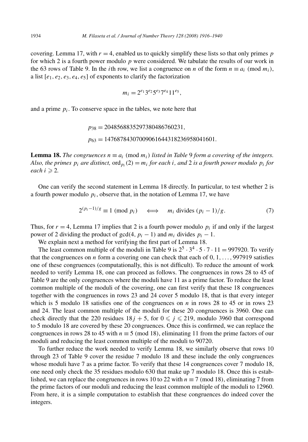covering. Lemma 17, with  $r = 4$ , enabled us to quickly simplify these lists so that only primes  $p$ for which 2 is a fourth power modulo *p* were considered. We tabulate the results of our work in the 63 rows of Table 9. In the *i*th row, we list a congruence on *n* of the form  $n \equiv a_i \pmod{m_i}$ , a list  $[e_1, e_2, e_3, e_4, e_5]$  of exponents to clarify the factorization

$$
m_i = 2^{e_1} 3^{e_2} 5^{e_3} 7^{e_4} 11^{e_5},
$$

and a prime  $p_i$ . To conserve space in the tables, we note here that

$$
p_{38} = 2048568835297380486760231,
$$
  

$$
p_{63} = 14768784307009061644318236958041601.
$$

**Lemma 18.** *The congruences*  $n \equiv a_i \pmod{m_i}$  *listed in Table* 9 *form a covering of the integers. Also, the primes*  $p_i$  *are distinct,* ord<sub>*p<sub>i</sub></sub>(2)* =  $m_i$  *for each i*, *and* 2 *is a fourth power modulo*  $p_i$  *for*</sub> *each*  $i \ge 2$ .

One can verify the second statement in Lemma 18 directly. In particular, to test whether 2 is a fourth power modulo  $p_i$ , observe that, in the notation of Lemma 17, we have

$$
2^{(p_i - 1)/g} \equiv 1 \pmod{p_i} \iff m_i \text{ divides } (p_i - 1)/g. \tag{7}
$$

Thus, for  $r = 4$ , Lemma 17 implies that 2 is a fourth power modulo  $p_i$  if and only if the largest power of 2 dividing the product of gcd(4,  $p_i - 1$ ) and  $m_i$  divides  $p_i - 1$ .

We explain next a method for verifying the first part of Lemma 18.

The least common multiple of the moduli in Table 9 is  $2^5 \cdot 3^4 \cdot 5 \cdot 7 \cdot 11 = 997920$ . To verify that the congruences on *n* form a covering one can check that each of 0*,* 1*,...,* 997919 satisfies one of these congruences (computationally, this is not difficult). To reduce the amount of work needed to verify Lemma 18, one can proceed as follows. The congruences in rows 28 to 45 of Table 9 are the only congruences where the moduli have 11 as a prime factor. To reduce the least common multiple of the moduli of the covering, one can first verify that these 18 congruences together with the congruences in rows 23 and 24 cover 5 modulo 18, that is that every integer which is 5 modulo 18 satisfies one of the congruences on  $n$  in rows 28 to 45 or in rows 23 and 24. The least common multiple of the moduli for these 20 congruences is 3960. One can check directly that the 220 residues  $18j + 5$ , for  $0 \le j \le 219$ , modulo 3960 that correspond to 5 modulo 18 are covered by these 20 congruences. Once this is confirmed, we can replace the congruences in rows 28 to 45 with  $n \equiv 5 \pmod{18}$ , eliminating 11 from the prime factors of our moduli and reducing the least common multiple of the moduli to 90720.

To further reduce the work needed to verify Lemma 18, we similarly observe that rows 10 through 23 of Table 9 cover the residue 7 modulo 18 and these include the only congruences whose moduli have 7 as a prime factor. To verify that these 14 congruences cover 7 modulo 18, one need only check the 35 residues modulo 630 that make up 7 modulo 18. Once this is established, we can replace the congruences in rows 10 to 22 with  $n \equiv 7 \pmod{18}$ , eliminating 7 from the prime factors of our moduli and reducing the least common multiple of the moduli to 12960. From here, it is a simple computation to establish that these congruences do indeed cover the integers.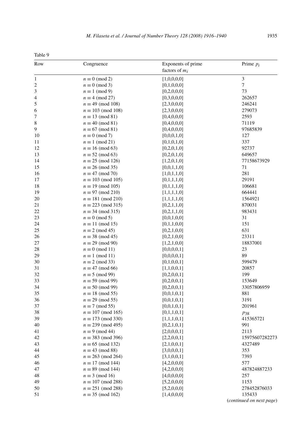| г |
|---|
|---|

| Row              | Congruence                | Exponents of prime<br>factors of $m_i$ | Prime $p_i$                        |
|------------------|---------------------------|----------------------------------------|------------------------------------|
| $\mathbf{1}$     | $n \equiv 0 \pmod{2}$     | [1,0,0,0,0]                            | 3                                  |
| $\boldsymbol{2}$ | $n \equiv 0 \pmod{3}$     | [0,1,0,0,0]                            | 7                                  |
| 3                | $n \equiv 1 \pmod{9}$     | [0,2,0,0,0]                            | 73                                 |
| 4                | $n \equiv 4 \pmod{27}$    | [0,3,0,0,0]                            | 262657                             |
| 5                | $n \equiv 49 \pmod{108}$  | [2,3,0,0,0]                            | 246241                             |
| 6                | $n \equiv 103 \pmod{108}$ | [2,3,0,0,0]                            | 279073                             |
| 7                | $n \equiv 13 \pmod{81}$   | [0,4,0,0,0]                            | 2593                               |
| 8                | $n \equiv 40 \pmod{81}$   | [0,4,0,0,0]                            | 71119                              |
| 9                | $n \equiv 67 \pmod{81}$   | [0,4,0,0,0]                            | 97685839                           |
| 10               | $n \equiv 0 \pmod{7}$     | [0,0,0,1,0]                            | 127                                |
| 11               | $n \equiv 1 \pmod{21}$    | [0,1,0,1,0]                            | 337                                |
| 12               | $n \equiv 16 \pmod{63}$   | [0,2,0,1,0]                            | 92737                              |
| 13               | $n \equiv 52 \pmod{63}$   | [0,2,0,1,0]                            | 649657                             |
| 14               | $n \equiv 25 \pmod{126}$  | [1,2,0,1,0]                            | 77158673929                        |
| 15               | $n \equiv 26 \pmod{35}$   | [0,0,1,1,0]                            | 71                                 |
| 16               | $n \equiv 47 \pmod{70}$   | [1,0,1,1,0]                            | 281                                |
| 17               | $n \equiv 103 \pmod{105}$ | [0,1,1,1,0]                            | 29191                              |
| 18               | $n \equiv 19 \pmod{105}$  | [0,1,1,1,0]                            | 106681                             |
| 19               | $n \equiv 97 \pmod{210}$  | [1,1,1,1,0]                            | 664441                             |
| 20               | $n \equiv 181 \pmod{210}$ | [1,1,1,1,0]                            | 1564921                            |
| 21               | $n \equiv 223 \pmod{315}$ | [0,2,1,1,0]                            | 870031                             |
| 22               | $n \equiv 34 \pmod{315}$  | [0,2,1,1,0]                            | 983431                             |
| 23               | $n \equiv 0 \pmod{5}$     | [0,0,1,0,0]                            | 31                                 |
| 24               | $n \equiv 11 \pmod{15}$   | [0,1,1,0,0]                            | 151                                |
| 25               | $n \equiv 2 \pmod{45}$    | [0,2,1,0,0]                            | 631                                |
| 26               | $n \equiv 38 \pmod{45}$   | [0,2,1,0,0]                            | 23311                              |
| 27               | $n \equiv 29 \pmod{90}$   | [1,2,1,0,0]                            | 18837001                           |
| 28               | $n \equiv 0 \pmod{11}$    | [0,0,0,0,1]                            | 23                                 |
| 29               | $n \equiv 1 \pmod{11}$    | [0,0,0,0,1]                            | 89                                 |
| 30               | $n \equiv 2 \pmod{33}$    | [0,1,0,0,1]                            | 599479                             |
| 31               | $n \equiv 47 \pmod{66}$   | [1,1,0,0,1]                            | 20857                              |
| 32               | $n \equiv 5 \pmod{99}$    | [0,2,0,0,1]                            | 199                                |
| 33               | $n \equiv 59 \pmod{99}$   | [0,2,0,0,1]                            | 153649                             |
| 34               | $n \equiv 50 \pmod{99}$   | [0,2,0,0,1]                            | 33057806959                        |
| 35               | $n \equiv 18 \pmod{55}$   |                                        | 881                                |
| 36               | $n \equiv 29 \pmod{55}$   | [0,0,1,0,1]                            | 3191                               |
| 37               | $n \equiv 7 \pmod{55}$    | [0,0,1,0,1]                            | 201961                             |
| 38               | $n \equiv 107 \pmod{165}$ | [0,0,1,0,1]                            |                                    |
| 39               | $n \equiv 173 \pmod{330}$ | [0,1,1,0,1]                            | $p_{38}$                           |
| 40               |                           | [1,1,1,0,1]                            | 415365721                          |
|                  | $n \equiv 239 \pmod{495}$ | [0,2,1,0,1]                            | 991                                |
| 41               | $n \equiv 9 \pmod{44}$    | [2,0,0,0,1]                            | 2113                               |
| 42               | $n \equiv 383 \pmod{396}$ | [2,2,0,0,1]                            | 15975607282273                     |
| 43               | $n \equiv 65 \pmod{132}$  | [2,1,0,0,1]                            | 4327489                            |
| 44               | $n \equiv 43 \pmod{88}$   | [3,0,0,0,1]                            | 353                                |
| 45               | $n \equiv 263 \pmod{264}$ | [3,1,0,0,1]                            | 7393                               |
| 46               | $n \equiv 17 \pmod{144}$  | [4,2,0,0,0]                            | 577                                |
| 47               | $n \equiv 89 \pmod{144}$  | [4,2,0,0,0]                            | 487824887233                       |
| 48               | $n \equiv 3 \pmod{16}$    | [4,0,0,0,0]                            | 257                                |
| 49               | $n \equiv 107 \pmod{288}$ | [5,2,0,0,0]                            | 1153                               |
| 50               | $n \equiv 251 \pmod{288}$ | [5,2,0,0,0]                            | 278452876033                       |
| 51               | $n \equiv 35 \pmod{162}$  | [1,4,0,0,0]                            | 135433<br>(continued on next page) |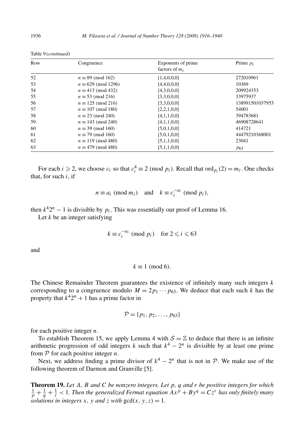| Row | Congruence                 | Exponents of prime<br>factors of $m_i$ | Prime $p_i$     |
|-----|----------------------------|----------------------------------------|-----------------|
| 52  | $n \equiv 89 \pmod{162}$   | [1,4,0,0,0]                            | 272010961       |
| 53  | $n \equiv 629 \pmod{1296}$ | [4,4,0,0,0]                            | 10369           |
| 54  | $n \equiv 413 \pmod{432}$  | [4,3,0,0,0]                            | 209924353       |
| 55  | $n \equiv 53 \pmod{216}$   | [3,3,0,0,0]                            | 33975937        |
| 56  | $n \equiv 125 \pmod{216}$  | [3,3,0,0,0]                            | 138991501037953 |
| 57  | $n \equiv 107 \pmod{180}$  | [2,2,1,0,0]                            | 54001           |
| 58  | $n \equiv 23 \pmod{240}$   | [4,1,1,0,0]                            | 394783681       |
| 59  | $n \equiv 143 \pmod{240}$  | [4,1,1,0,0]                            | 46908728641     |
| 60  | $n \equiv 39 \pmod{160}$   | [5,0,1,0,0]                            | 414721          |
| 61  | $n \equiv 79 \pmod{160}$   | [5,0,1,0,0]                            | 44479210368001  |
| 62  | $n \equiv 119 \pmod{480}$  | [5,1,1,0,0]                            | 23041           |
| 63  | $n \equiv 479 \pmod{480}$  | [5,1,1,0,0]                            | P <sub>63</sub> |

Table 9 (*continued*)

For each *i*  $\geq$  2, we choose  $c_i$  so that  $c_i^4 \equiv 2 \pmod{p_i}$ . Recall that ord  $p_i(2) = m_i$ . One checks that, for such *i*, if

$$
n \equiv a_i \pmod{m_i}
$$
 and  $k \equiv c_i^{-a_i} \pmod{p_i}$ ,

then  $k^4 2^n - 1$  is divisible by  $p_i$ . This was essentially our proof of Lemma 16.

Let *k* be an integer satisfying

$$
k \equiv c_i^{-a_i} \pmod{p_i} \quad \text{for } 2 \leq i \leq 63
$$

and

$$
k \equiv 1 \pmod{6}.
$$

The Chinese Remainder Theorem guarantees the existence of infinitely many such integers *k* corresponding to a congruence modulo  $M = 2p_1 \cdots p_{63}$ . We deduce that each such *k* has the property that  $k^4 2^n + 1$  has a prime factor in

$$
\mathcal{P} = \{p_1, p_2, \ldots, p_{63}\}
$$

for each positive integer *n*.

To establish Theorem 15, we apply Lemma 4 with  $S = \mathbb{Z}$  to deduce that there is an infinite arithmetic progression of odd integers *k* such that  $k^4 - 2^n$  is divisible by at least one prime from P for each positive integer *n*.

Next, we address finding a prime divisor of  $k^4 - 2^n$  that is not in P. We make use of the following theorem of Darmon and Granville [5].

**Theorem 19.** *Let A, B and C be nonzero integers. Let p, q and r be positive integers for which*  $\frac{1}{p} + \frac{1}{q} + \frac{1}{r}$  < 1. Then the generalized Fermat equation  $Ax^p + By^q = Cz^r$  has only finitely many *solutions in integers x, y and z with*  $gcd(x, y, z) = 1$ *.*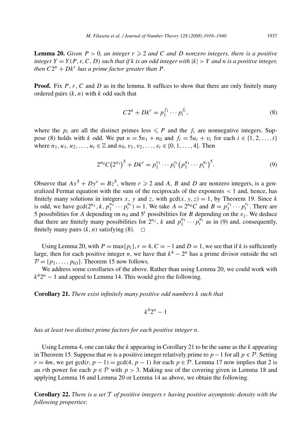**Lemma 20.** *Given*  $P > 0$ *, an integer*  $r \geq 2$  *and C and D nonzero integers, there is a positive integer*  $Y = Y(P, r, C, D)$  *such that if k is an odd integer with*  $|k| > Y$  *and n is a positive integer, then*  $C2^n + Dk^r$  *has a prime factor greater than P*.

**Proof.** Fix P, r, C and D as in the lemma. It suffices to show that there are only finitely many ordered pairs *(k, n)* with *k* odd such that

$$
C2^{n} + Dk^{r} = p_1^{f_1} \cdots p_t^{f_t},
$$
\n(8)

where the  $p_i$  are all the distinct primes less  $\leq P$  and the  $f_i$  are nonnegative integers. Suppose (8) holds with *k* odd. We put  $n = 5n_1 + n_0$  and  $f_i = 5u_i + v_i$  for each  $i \in \{1, 2, ..., t\}$ where  $n_1, u_1, u_2, \ldots, u_t \in \mathbb{Z}$  and  $n_0, v_1, v_2, \ldots, v_t \in \{0, 1, \ldots, 4\}$ . Then

$$
2^{n_0}C(2^{n_1})^5 + Dk^r = p_1^{v_1} \cdots p_t^{v_t} (p_1^{u_1} \cdots p_t^{u_t})^5.
$$
 (9)

Observe that  $Ax^5 + Dy^r = Bz^5$ , where  $r \ge 2$  and *A*, *B* and *D* are nonzero integers, is a generalized Fermat equation with the sum of the reciprocals of the exponents *<* 1 and, hence, has finitely many solutions in integers *x*, *y* and *z*, with  $gcd(x, y, z) = 1$ , by Theorem 19. Since *k* is odd, we have  $gcd(2^{n_1}, k, p_1^{u_1} \cdots p_t^{u_t}) = 1$ . We take  $A = 2^{n_0}C$  and  $B = p_1^{v_1} \cdots p_t^{v_t}$ . There are 5 possibilities for *A* depending on  $n_0$  and  $5^t$  possibilities for *B* depending on the  $v_j$ . We deduce that there are finitely many possibilities for  $2^{n_1}$ , *k* and  $p_1^{u_1} \cdots p_t^{u_t}$  as in (9) and, consequently, finitely many pairs  $(k, n)$  satisfying (8).  $\Box$ 

Using Lemma 20, with  $P = \max\{p_i\}$ ,  $r = 4$ ,  $C = -1$  and  $D = 1$ , we see that if k is sufficiently large, then for each positive integer *n*, we have that  $k^4 - 2^n$  has a prime divisor outside the set  $\mathcal{P} = \{p_1, \ldots, p_{63}\}.$  Theorem 15 now follows.

We address some corollaries of the above. Rather than using Lemma 20, we could work with  $k^42^n - 1$  and appeal to Lemma 14. This would give the following.

**Corollary 21.** *There exist infinitely many positive odd numbers k such that*

$$
k^4 2^n - 1
$$

*has at least two distinct prime factors for each positive integer n.*

Using Lemma 4, one can take the *k* appearing in Corollary 21 to be the same as the *k* appearing in Theorem 15. Suppose that *m* is a positive integer relatively prime to  $p-1$  for all  $p \in \mathcal{P}$ . Setting  $r = 4m$ , we get gcd(*r*,  $p - 1$ ) = gcd(4,  $p - 1$ ) for each  $p \in \mathcal{P}$ . Lemma 17 now implies that 2 is an *r*th power for each  $p \in \mathcal{P}$  with  $p > 3$ . Making use of the covering given in Lemma 18 and applying Lemma 16 and Lemma 20 or Lemma 14 as above, we obtain the following.

**Corollary 22.** *There is a set* T *of positive integers r having positive asymptotic density with the following properties*: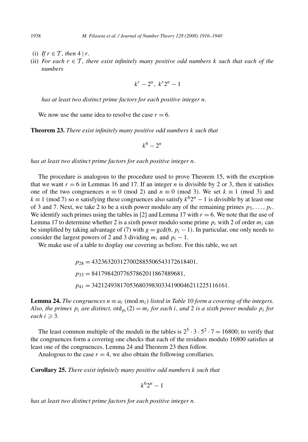- (i) *If*  $r \in \mathcal{T}$ *, then*  $4 | r$ *.*
- (ii) *For each*  $r \in \mathcal{T}$ *, there exist infinitely many positive odd numbers k such that each of the numbers*

$$
k^r - 2^n, \ k^r 2^n - 1
$$

*has at least two distinct prime factors for each positive integer n.*

We now use the same idea to resolve the case  $r = 6$ .

**Theorem 23.** *There exist infinitely many positive odd numbers k such that*

$$
k^6-2^n
$$

*has at least two distinct prime factors for each positive integer n.*

The procedure is analogous to the procedure used to prove Theorem 15, with the exception that we want  $r = 6$  in Lemmas 16 and 17. If an integer *n* is divisible by 2 or 3, then it satisfies one of the two congruences  $n \equiv 0 \pmod{2}$  and  $n \equiv 0 \pmod{3}$ . We set  $k \equiv 1 \pmod{3}$  and  $k \equiv 1 \pmod{7}$  so *n* satisfying these congruences also satisfy  $k^6 2^n - 1$  is divisible by at least one of 3 and 7. Next, we take 2 to be a sixth power modulo any of the remaining primes  $p_3, \ldots, p_t$ . We identify such primes using the tables in  $[2]$  and Lemma 17 with  $r = 6$ . We note that the use of Lemma 17 to determine whether 2 is a sixth power modulo some prime  $p_i$  with 2 of order  $m_i$  can be simplified by taking advantage of (7) with  $g = \gcd(6, p_i - 1)$ . In particular, one only needs to consider the largest powers of 2 and 3 dividing  $m_i$  and  $p_i - 1$ .

We make use of a table to display our covering as before. For this table, we set

*p*<sup>28</sup> = 432363203127002885506543172618401*, p*<sup>33</sup> = 84179842077657862011867889681*, p*<sup>41</sup> = 3421249381705368039830334190046211225116161*.*

**Lemma 24.** *The congruences*  $n \equiv a_i \pmod{m_i}$  *listed in Table* 10 *form a covering of the integers. Also, the primes*  $p_i$  *are distinct,*  $\text{ord}_{p_i}(2) = m_i$  *for each i, and* 2 *is a sixth power modulo*  $p_i$  *for each*  $i \geqslant 3$ *.* 

The least common multiple of the moduli in the tables is  $2^5 \cdot 3 \cdot 5^2 \cdot 7 = 16800$ ; to verify that the congruences form a covering one checks that each of the residues modulo 16800 satisfies at least one of the congruences. Lemma 24 and Theorem 23 then follow.

Analogous to the case  $r = 4$ , we also obtain the following corollaries.

**Corollary 25.** *There exist infinitely many positive odd numbers k such that*

$$
k^6 2^n - 1
$$

*has at least two distinct prime factors for each positive integer n.*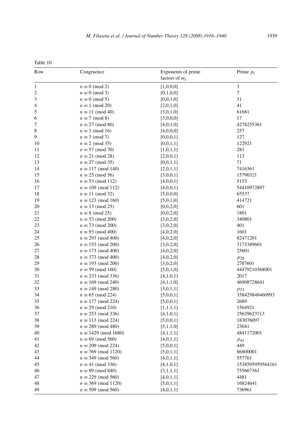| Tanle. |  |
|--------|--|
|        |  |

| Row            | Congruence                  | Exponents of prime<br>factors of $m_i$ | Prime $p_i$      |
|----------------|-----------------------------|----------------------------------------|------------------|
| $\mathbf{1}$   | $n \equiv 0 \pmod{2}$       | [1,0,0,0]                              | $\mathfrak{Z}$   |
| $\overline{c}$ | $n \equiv 0 \pmod{3}$       | [0,1,0,0]                              | $\tau$           |
| 3              | $n \equiv 0 \pmod{5}$       | [0,0,1,0]                              | 31               |
| 4              | $n \equiv 1 \pmod{20}$      | [2,0,1,0]                              | 41               |
| 5              | $n \equiv 11 \pmod{40}$     | [3,0,1,0]                              | 61681            |
| 6              | $n \equiv 7 \pmod{8}$       | [3,0,0,0]                              | 17               |
| 7              | $n \equiv 27 \pmod{80}$     | [4,0,1,0]                              | 4278255361       |
| 8              | $n \equiv 3 \pmod{16}$      | [4,0,0,0]                              | 257              |
| 9              | $n \equiv 3 \pmod{7}$       | [0,0,0,1]                              | 127              |
| 10             | $n \equiv 2 \pmod{35}$      | [0,0,1,1]                              | 122921           |
| 11             | $n \equiv 57 \pmod{70}$     | [1,0,1,1]                              | 281              |
| 12             | $n \equiv 21 \pmod{28}$     | [2,0,0,1]                              | 113              |
| 13             | $n \equiv 27 \pmod{35}$     | [0,0,1,1]                              | 71               |
| 14             | $n \equiv 117 \pmod{140}$   | [2,0,1,1]                              | 7416361          |
| 15             | $n \equiv 25 \pmod{56}$     | [3,0,0,1]                              | 15790321         |
| 16             | $n \equiv 53 \pmod{112}$    | [4,0,0,1]                              | 5153             |
| 17             | $n \equiv 109 \pmod{112}$   | [4,0,0,1]                              | 54410972897      |
| 18             | $n \equiv 11 \pmod{32}$     | [5,0,0,0]                              | 65537            |
| 19             | $n \equiv 123 \pmod{160}$   | [5,0,1,0]                              | 414721           |
| 20             | $n \equiv 13 \pmod{25}$     | [0,0,2,0]                              | 601              |
| 21             | $n \equiv 8 \pmod{25}$      | [0,0,2,0]                              | 1801             |
| 22             | $n \equiv 53 \pmod{200}$    | [3,0,2,0]                              | 340801           |
| 23             | $n \equiv 73 \pmod{200}$    | [3,0,2,0]                              | 401              |
| 24             | $n \equiv 93 \pmod{400}$    | [4,0,2,0]                              | 1601             |
| 25             | $n \equiv 293 \pmod{400}$   | [4,0,2,0]                              | 82471201         |
| 26             | $n \equiv 153 \pmod{200}$   | [3,0,2,0]                              | 3173389601       |
| 27             | $n \equiv 173 \pmod{400}$   | [4,0,2,0]                              | 25601            |
| 28             | $n \equiv 373 \pmod{400}$   | [4,0,2,0]                              | $p_{28}$         |
| 29             | $n \equiv 193 \pmod{200}$   | [3,0,2,0]                              | 2787601          |
| 30             | $n \equiv 59 \pmod{160}$    | [5,0,1,0]                              | 44479210368001   |
| 31             | $n \equiv 233 \pmod{336}$   | [4,1,0,1]                              | 2017             |
| 32             | $n \equiv 169 \pmod{240}$   | [4,1,1,0]                              | 46908728641      |
| 33             | $n \equiv 149 \pmod{280}$   | [3,0,1,1]                              | $p_{33}$         |
| 34             | $n \equiv 65 \pmod{224}$    | [5,0,0,1]                              | 358429848460993  |
| 35             | $n \equiv 177 \pmod{224}$   | [5,0,0,1]                              | 2689             |
| 36             | $n \equiv 29 \pmod{210}$    | [1,1,1,1]                              | 1564921          |
| 37             | $n \equiv 253 \pmod{336}$   | [4,1,0,1]                              | 25629623713      |
| 38             | $n \equiv 113 \pmod{224}$   | [5,0,0,1]                              | 183076097        |
| 39             | $n \equiv 289 \pmod{480}$   | [5,1,1,0]                              | 23041            |
| 40             | $n \equiv 1429 \pmod{1680}$ | [4,1,1,1]                              | 4841172001       |
| 41             | $n \equiv 69 \pmod{560}$    | [4,0,1,1]                              |                  |
| 42             | $n \equiv 209 \pmod{224}$   | [5,0,0,1]                              | $p_{41}$<br>449  |
| 43             | $n \equiv 769 \pmod{1120}$  | [5,0,1,1]                              | 86800001         |
| 44             | $n \equiv 349 \pmod{560}$   |                                        | 557761           |
| 45             | $n \equiv 41 \pmod{336}$    | [4,0,1,1]                              | 1538595959564161 |
| 46             | $n \equiv 89 \pmod{840}$    | [4,1,0,1]                              | 755667361        |
| 47             | $n \equiv 229 \pmod{560}$   | [3,1,1,1]                              | 4481             |
| 48             | $n \equiv 369 \pmod{1120}$  | [4,0,1,1]                              | 16824641         |
| 49             | $n \equiv 509 \pmod{560}$   | [5,0,1,1]<br>[4,0,1,1]                 | 736961           |